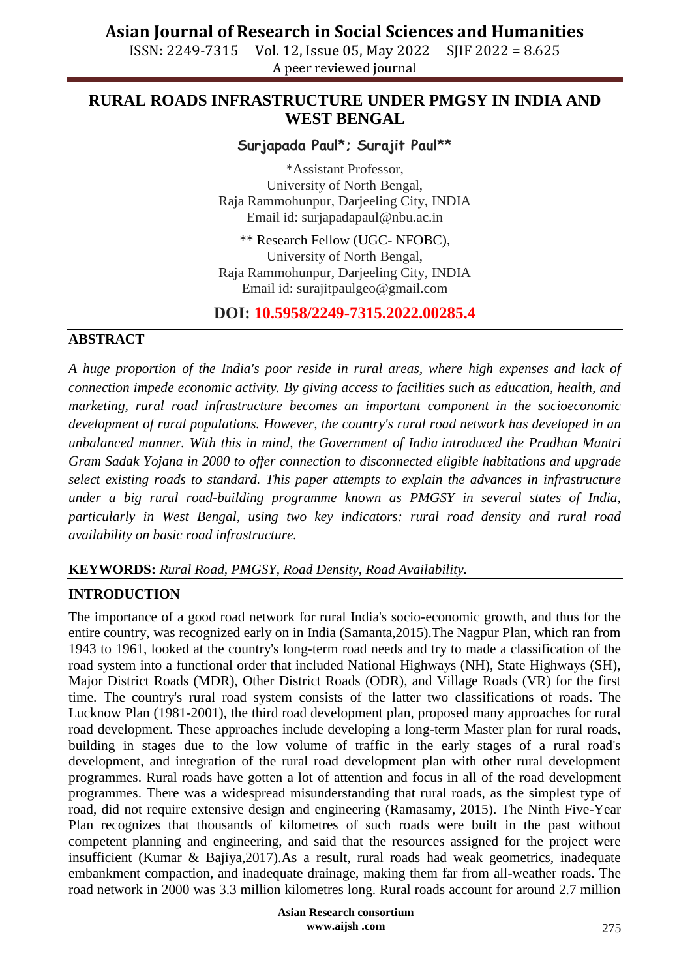ISSN: 2249-7315 Vol. 12, Issue 05, May 2022 SJIF 2022 = 8.625 A peer reviewed journal

## **RURAL ROADS INFRASTRUCTURE UNDER PMGSY IN INDIA AND WEST BENGAL**

### **Surjapada Paul\*; Surajit Paul\*\***

\*Assistant Professor, University of North Bengal, Raja Rammohunpur, Darjeeling City, INDIA Email id: [surjapadapaul@nbu.ac.in](mailto:surjapadapaul@nbu.ac.in)

\*\* Research Fellow (UGC- NFOBC), University of North Bengal, Raja Rammohunpur, Darjeeling City, INDIA Email id: [surajitpaulgeo@gmail.com](mailto:surajitpaulgeo@gmail.com)

### **DOI: 10.5958/2249-7315.2022.00285.4**

### **ABSTRACT**

*A huge proportion of the India's poor reside in rural areas, where high expenses and lack of connection impede economic activity. By giving access to facilities such as education, health, and marketing, rural road infrastructure becomes an important component in the socioeconomic development of rural populations. However, the country's rural road network has developed in an unbalanced manner. With this in mind, the Government of India introduced the Pradhan Mantri Gram Sadak Yojana in 2000 to offer connection to disconnected eligible habitations and upgrade select existing roads to standard. This paper attempts to explain the advances in infrastructure under a big rural road-building programme known as PMGSY in several states of India, particularly in West Bengal, using two key indicators: rural road density and rural road availability on basic road infrastructure.*

### **KEYWORDS:** *Rural Road, PMGSY, Road Density, Road Availability.*

### **INTRODUCTION**

The importance of a good road network for rural India's socio-economic growth, and thus for the entire country, was recognized early on in India (Samanta,2015).The Nagpur Plan, which ran from 1943 to 1961, looked at the country's long-term road needs and try to made a classification of the road system into a functional order that included National Highways (NH), State Highways (SH), Major District Roads (MDR), Other District Roads (ODR), and Village Roads (VR) for the first time. The country's rural road system consists of the latter two classifications of roads. The Lucknow Plan (1981-2001), the third road development plan, proposed many approaches for rural road development. These approaches include developing a long-term Master plan for rural roads, building in stages due to the low volume of traffic in the early stages of a rural road's development, and integration of the rural road development plan with other rural development programmes. Rural roads have gotten a lot of attention and focus in all of the road development programmes. There was a widespread misunderstanding that rural roads, as the simplest type of road, did not require extensive design and engineering (Ramasamy, 2015). The Ninth Five-Year Plan recognizes that thousands of kilometres of such roads were built in the past without competent planning and engineering, and said that the resources assigned for the project were insufficient (Kumar & Bajiya,2017).As a result, rural roads had weak geometrics, inadequate embankment compaction, and inadequate drainage, making them far from all-weather roads. The road network in 2000 was 3.3 million kilometres long. Rural roads account for around 2.7 million

> **Asian Research consortium www.aijsh .com**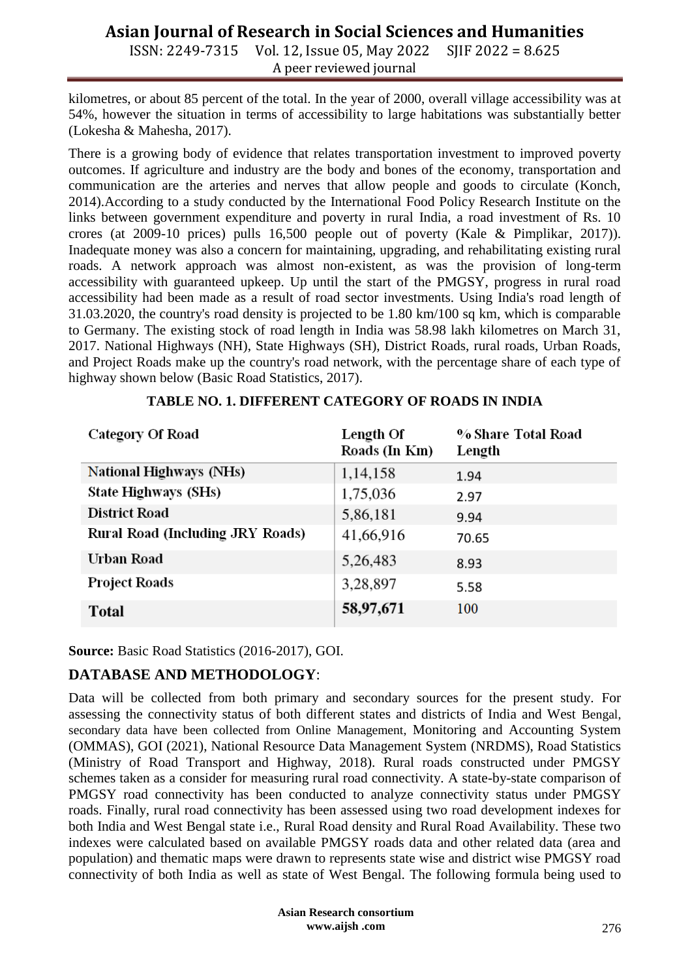ISSN: 2249-7315 Vol. 12, Issue 05, May 2022 SJIF 2022 = 8.625 A peer reviewed journal

kilometres, or about 85 percent of the total. In the year of 2000, overall village accessibility was at 54%, however the situation in terms of accessibility to large habitations was substantially better (Lokesha & Mahesha, 2017).

There is a growing body of evidence that relates transportation investment to improved poverty outcomes. If agriculture and industry are the body and bones of the economy, transportation and communication are the arteries and nerves that allow people and goods to circulate (Konch, 2014).According to a study conducted by the International Food Policy Research Institute on the links between government expenditure and poverty in rural India, a road investment of Rs. 10 crores (at 2009-10 prices) pulls 16,500 people out of poverty (Kale & Pimplikar, 2017)). Inadequate money was also a concern for maintaining, upgrading, and rehabilitating existing rural roads. A network approach was almost non-existent, as was the provision of long-term accessibility with guaranteed upkeep. Up until the start of the PMGSY, progress in rural road accessibility had been made as a result of road sector investments. Using India's road length of 31.03.2020, the country's road density is projected to be 1.80 km/100 sq km, which is comparable to Germany. The existing stock of road length in India was 58.98 lakh kilometres on March 31, 2017. National Highways (NH), State Highways (SH), District Roads, rural roads, Urban Roads, and Project Roads make up the country's road network, with the percentage share of each type of highway shown below (Basic Road Statistics, 2017).

| <b>Category Of Road</b>          | Length Of<br>Roads (In Km) | % Share Total Road<br>Length |
|----------------------------------|----------------------------|------------------------------|
| <b>National Highways (NHs)</b>   | 1,14,158                   | 1.94                         |
| <b>State Highways (SHs)</b>      | 1,75,036                   | 2.97                         |
| <b>District Road</b>             | 5,86,181                   | 9.94                         |
| Rural Road (Including JRY Roads) | 41,66,916                  | 70.65                        |
| <b>Urban Road</b>                | 5,26,483                   | 8.93                         |
| <b>Project Roads</b>             | 3,28,897                   | 5.58                         |
| <b>Total</b>                     | 58,97,671                  | 100                          |

**Source:** Basic Road Statistics (2016-2017), GOI.

## **DATABASE AND METHODOLOGY**:

Data will be collected from both primary and secondary sources for the present study. For assessing the connectivity status of both different states and districts of India and West Bengal, secondary data have been collected from Online Management, Monitoring and Accounting System (OMMAS), GOI (2021), National Resource Data Management System (NRDMS), Road Statistics (Ministry of Road Transport and Highway, 2018). Rural roads constructed under PMGSY schemes taken as a consider for measuring rural road connectivity. A state-by-state comparison of PMGSY road connectivity has been conducted to analyze connectivity status under PMGSY roads. Finally, rural road connectivity has been assessed using two road development indexes for both India and West Bengal state i.e., Rural Road density and Rural Road Availability. These two indexes were calculated based on available PMGSY roads data and other related data (area and population) and thematic maps were drawn to represents state wise and district wise PMGSY road connectivity of both India as well as state of West Bengal. The following formula being used to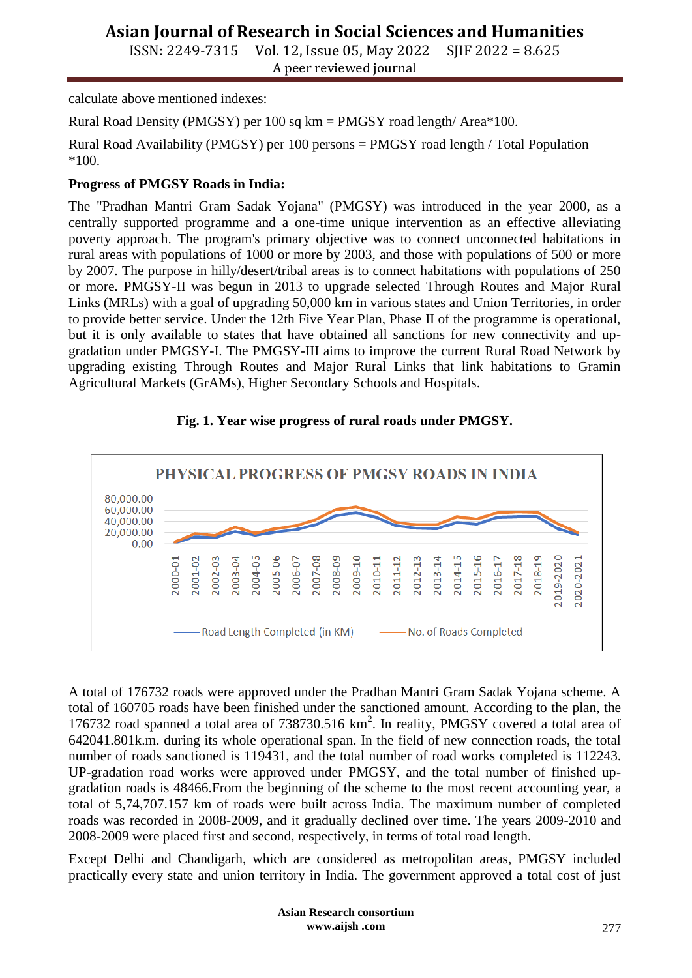ISSN: 2249-7315 Vol. 12, Issue 05, May 2022 SJIF 2022 = 8.625 A peer reviewed journal

calculate above mentioned indexes:

Rural Road Density (PMGSY) per 100 sq km = PMGSY road length/ Area\*100.

Rural Road Availability (PMGSY) per 100 persons = PMGSY road length / Total Population \*100.

### **Progress of PMGSY Roads in India:**

The "Pradhan Mantri Gram Sadak Yojana" (PMGSY) was introduced in the year 2000, as a centrally supported programme and a one-time unique intervention as an effective alleviating poverty approach. The program's primary objective was to connect unconnected habitations in rural areas with populations of 1000 or more by 2003, and those with populations of 500 or more by 2007. The purpose in hilly/desert/tribal areas is to connect habitations with populations of 250 or more. PMGSY-II was begun in 2013 to upgrade selected Through Routes and Major Rural Links (MRLs) with a goal of upgrading 50,000 km in various states and Union Territories, in order to provide better service. Under the 12th Five Year Plan, Phase II of the programme is operational, but it is only available to states that have obtained all sanctions for new connectivity and upgradation under PMGSY-I. The PMGSY-III aims to improve the current Rural Road Network by upgrading existing Through Routes and Major Rural Links that link habitations to Gramin Agricultural Markets (GrAMs), Higher Secondary Schools and Hospitals.



### **Fig. 1. Year wise progress of rural roads under PMGSY.**

A total of 176732 roads were approved under the Pradhan Mantri Gram Sadak Yojana scheme. A total of 160705 roads have been finished under the sanctioned amount. According to the plan, the 176732 road spanned a total area of 738730.516 km<sup>2</sup>. In reality, PMGSY covered a total area of 642041.801k.m. during its whole operational span. In the field of new connection roads, the total number of roads sanctioned is 119431, and the total number of road works completed is 112243. UP-gradation road works were approved under PMGSY, and the total number of finished upgradation roads is 48466.From the beginning of the scheme to the most recent accounting year, a total of 5,74,707.157 km of roads were built across India. The maximum number of completed roads was recorded in 2008-2009, and it gradually declined over time. The years 2009-2010 and 2008-2009 were placed first and second, respectively, in terms of total road length.

Except Delhi and Chandigarh, which are considered as metropolitan areas, PMGSY included practically every state and union territory in India. The government approved a total cost of just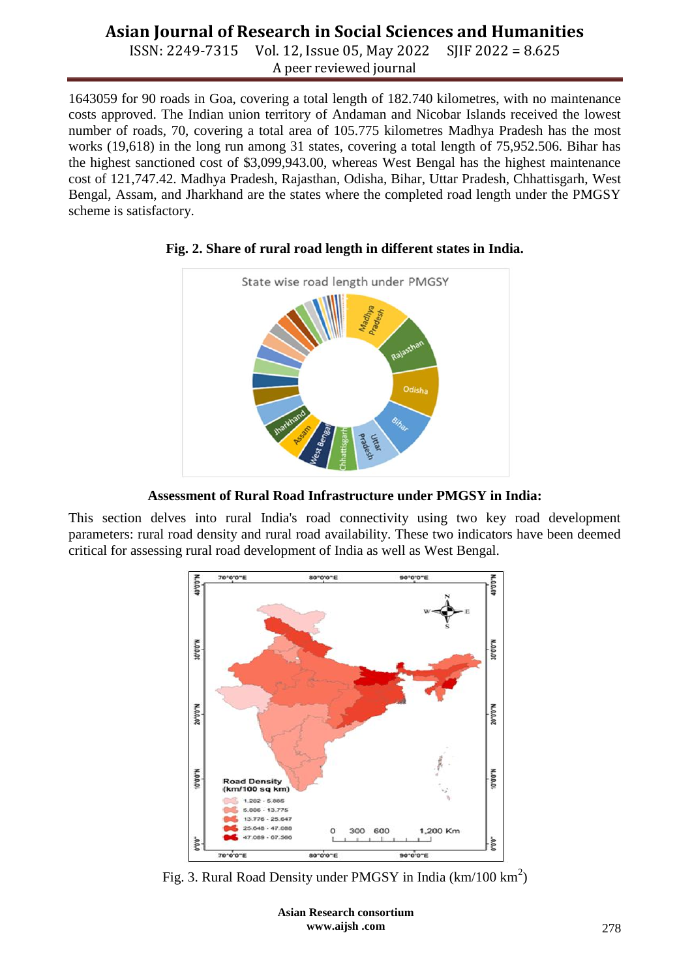ISSN: 2249-7315 Vol. 12, Issue 05, May 2022 SJIF 2022 = 8.625 A peer reviewed journal

1643059 for 90 roads in Goa, covering a total length of 182.740 kilometres, with no maintenance costs approved. The Indian union territory of Andaman and Nicobar Islands received the lowest number of roads, 70, covering a total area of 105.775 kilometres Madhya Pradesh has the most works (19,618) in the long run among 31 states, covering a total length of 75,952.506. Bihar has the highest sanctioned cost of \$3,099,943.00, whereas West Bengal has the highest maintenance cost of 121,747.42. Madhya Pradesh, Rajasthan, Odisha, Bihar, Uttar Pradesh, Chhattisgarh, West Bengal, Assam, and Jharkhand are the states where the completed road length under the PMGSY scheme is satisfactory.



### **Fig. 2. Share of rural road length in different states in India.**

**Assessment of Rural Road Infrastructure under PMGSY in India:**

This section delves into rural India's road connectivity using two key road development parameters: rural road density and rural road availability. These two indicators have been deemed critical for assessing rural road development of India as well as West Bengal.



Fig. 3. Rural Road Density under PMGSY in India ( $km/100$  km<sup>2</sup>)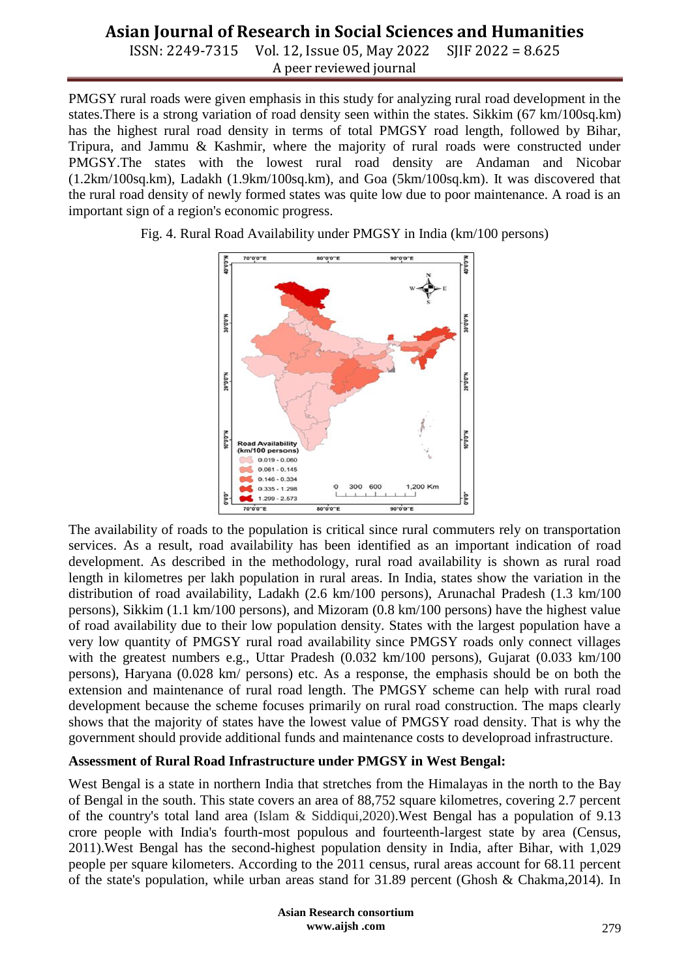ISSN: 2249-7315 Vol. 12, Issue 05, May 2022 SJIF 2022 = 8.625 A peer reviewed journal

PMGSY rural roads were given emphasis in this study for analyzing rural road development in the states.There is a strong variation of road density seen within the states. Sikkim (67 km/100sq.km) has the highest rural road density in terms of total PMGSY road length, followed by Bihar, Tripura, and Jammu & Kashmir, where the majority of rural roads were constructed under PMGSY.The states with the lowest rural road density are Andaman and Nicobar (1.2km/100sq.km), Ladakh (1.9km/100sq.km), and Goa (5km/100sq.km). It was discovered that the rural road density of newly formed states was quite low due to poor maintenance. A road is an important sign of a region's economic progress.



Fig. 4. Rural Road Availability under PMGSY in India (km/100 persons)

The availability of roads to the population is critical since rural commuters rely on transportation services. As a result, road availability has been identified as an important indication of road development. As described in the methodology, rural road availability is shown as rural road length in kilometres per lakh population in rural areas. In India, states show the variation in the distribution of road availability, Ladakh (2.6 km/100 persons), Arunachal Pradesh (1.3 km/100 persons), Sikkim (1.1 km/100 persons), and Mizoram (0.8 km/100 persons) have the highest value of road availability due to their low population density. States with the largest population have a very low quantity of PMGSY rural road availability since PMGSY roads only connect villages with the greatest numbers e.g., Uttar Pradesh (0.032 km/100 persons), Gujarat (0.033 km/100 persons), Haryana (0.028 km/ persons) etc. As a response, the emphasis should be on both the extension and maintenance of rural road length. The PMGSY scheme can help with rural road development because the scheme focuses primarily on rural road construction. The maps clearly shows that the majority of states have the lowest value of PMGSY road density. That is why the government should provide additional funds and maintenance costs to developroad infrastructure.

### **Assessment of Rural Road Infrastructure under PMGSY in West Bengal:**

West Bengal is a state in northern India that stretches from the Himalayas in the north to the Bay of Bengal in the south. This state covers an area of 88,752 square kilometres, covering 2.7 percent of the country's total land area (Islam & Siddiqui,2020).West Bengal has a population of 9.13 crore people with India's fourth-most populous and fourteenth-largest state by area (Census, 2011).West Bengal has the second-highest population density in India, after Bihar, with 1,029 people per square kilometers. According to the 2011 census, rural areas account for 68.11 percent of the state's population, while urban areas stand for 31.89 percent (Ghosh & Chakma,2014). In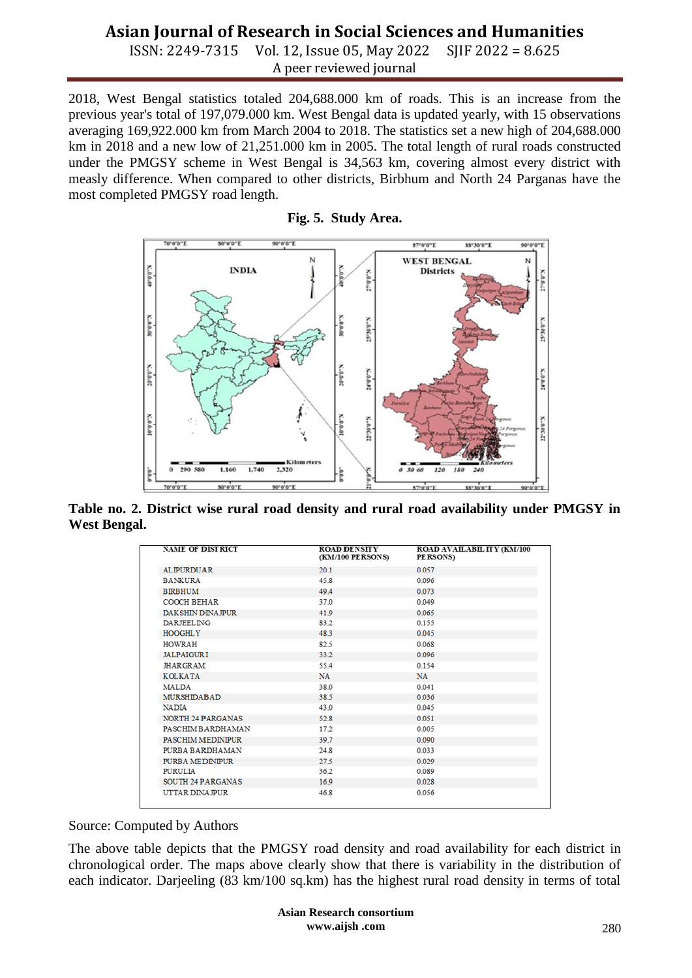ISSN: 2249-7315 Vol. 12, Issue 05, May 2022 SJIF 2022 = 8.625 A peer reviewed journal

2018, West Bengal statistics totaled 204,688.000 km of roads. This is an increase from the previous year's total of 197,079.000 km. West Bengal data is updated yearly, with 15 observations averaging 169,922.000 km from March 2004 to 2018. The statistics set a new high of 204,688.000 km in 2018 and a new low of 21,251.000 km in 2005. The total length of rural roads constructed under the PMGSY scheme in West Bengal is 34,563 km, covering almost every district with measly difference. When compared to other districts, Birbhum and North 24 Parganas have the most completed PMGSY road length.





**Table no. 2. District wise rural road density and rural road availability under PMGSY in West Bengal.**

| <b>NAME OF DISTRICT</b>   | <b>ROAD DENSITY</b><br>(KM/100 PERSONS) | ROAD AVAILABILITY (KM/100<br>PE RSONS) |
|---------------------------|-----------------------------------------|----------------------------------------|
| <b>ALIPURDUAR</b>         | 20.1                                    | 0.057                                  |
| <b>BANKURA</b>            | 45.8                                    | 0.096                                  |
| <b>BIRBHUM</b>            | 494                                     | 0.073                                  |
| COOCH BEHAR               | 37.0                                    | 0.049                                  |
| <b>DAK SHIN DINA IPUR</b> | 41.9                                    | 0.065                                  |
| <b>DARIEELING</b>         | 832                                     | 0.155                                  |
| <b>HOOGHLY</b>            | 483                                     | 0.045                                  |
| HOWRAH                    | 825                                     | 0.068                                  |
| <b>JALPAIGURI</b>         | 33.2                                    | 0.096                                  |
| <b>JHARGRAM</b>           | 55.4                                    | 0.154                                  |
| <b>KOLKATA</b>            | <b>NA</b>                               | <b>NA</b>                              |
| <b>MALDA</b>              | 38.0                                    | 0.041                                  |
| <b>MURSHIDABAD</b>        | 38.5                                    | 0.036                                  |
| <b>NADIA</b>              | 43.0                                    | 0.045                                  |
| <b>NORTH 24 PARGANAS</b>  | 52.8                                    | 0.051                                  |
| PASCHIM BARDHAMAN         | 17.2                                    | 0.005                                  |
| <b>PASCHIM MEDINIPUR</b>  | 307                                     | 0.090                                  |
| PURBA BARDHAMAN           | 24.8                                    | 0.033                                  |
| PURBA MEDINIPUR           | 27.5                                    | 0.029                                  |
| <b>PURULIA</b>            | 36.2                                    | 0.089                                  |
| <b>SOUTH 24 PARGANAS</b>  | 16.9                                    | 0.028                                  |
| UTTAR DINA IPUR           | 46.8                                    | 0.056                                  |
|                           |                                         |                                        |

#### Source: Computed by Authors

The above table depicts that the PMGSY road density and road availability for each district in chronological order. The maps above clearly show that there is variability in the distribution of each indicator. Darjeeling (83 km/100 sq.km) has the highest rural road density in terms of total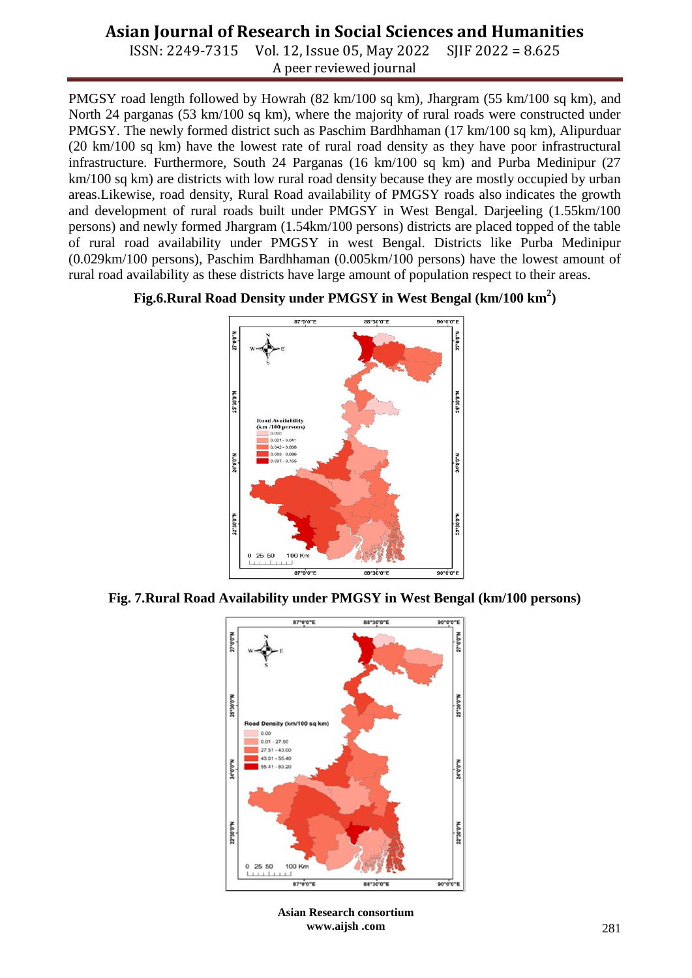ISSN: 2249-7315 Vol. 12, Issue 05, May 2022 SJIF 2022 = 8.625 A peer reviewed journal

PMGSY road length followed by Howrah (82 km/100 sq km), Jhargram (55 km/100 sq km), and North 24 parganas (53 km/100 sq km), where the majority of rural roads were constructed under PMGSY. The newly formed district such as Paschim Bardhhaman (17 km/100 sq km), Alipurduar (20 km/100 sq km) have the lowest rate of rural road density as they have poor infrastructural infrastructure. Furthermore, South 24 Parganas (16 km/100 sq km) and Purba Medinipur (27 km/100 sq km) are districts with low rural road density because they are mostly occupied by urban areas.Likewise, road density, Rural Road availability of PMGSY roads also indicates the growth and development of rural roads built under PMGSY in West Bengal. Darjeeling (1.55km/100 persons) and newly formed Jhargram (1.54km/100 persons) districts are placed topped of the table of rural road availability under PMGSY in west Bengal. Districts like Purba Medinipur (0.029km/100 persons), Paschim Bardhhaman (0.005km/100 persons) have the lowest amount of rural road availability as these districts have large amount of population respect to their areas.

### **Fig.6.Rural Road Density under PMGSY in West Bengal (km/100 km<sup>2</sup> )**



**Fig. 7.Rural Road Availability under PMGSY in West Bengal (km/100 persons)**



**Asian Research consortium www.aijsh .com**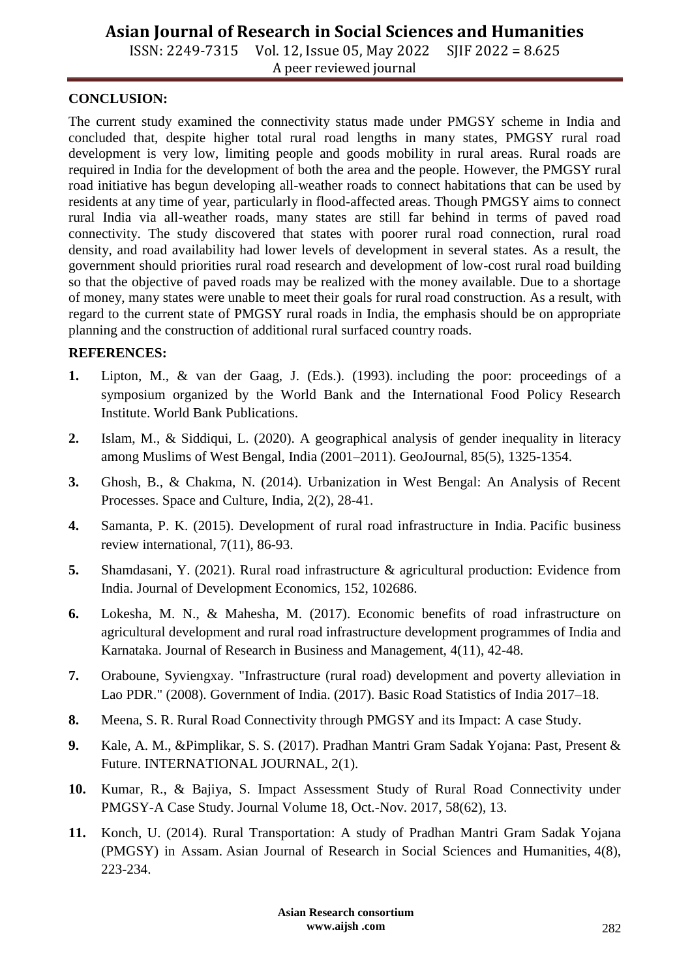ISSN: 2249-7315 Vol. 12, Issue 05, May 2022 SJIF 2022 = 8.625 A peer reviewed journal

### **CONCLUSION:**

The current study examined the connectivity status made under PMGSY scheme in India and concluded that, despite higher total rural road lengths in many states, PMGSY rural road development is very low, limiting people and goods mobility in rural areas. Rural roads are required in India for the development of both the area and the people. However, the PMGSY rural road initiative has begun developing all-weather roads to connect habitations that can be used by residents at any time of year, particularly in flood-affected areas. Though PMGSY aims to connect rural India via all-weather roads, many states are still far behind in terms of paved road connectivity. The study discovered that states with poorer rural road connection, rural road density, and road availability had lower levels of development in several states. As a result, the government should priorities rural road research and development of low-cost rural road building so that the objective of paved roads may be realized with the money available. Due to a shortage of money, many states were unable to meet their goals for rural road construction. As a result, with regard to the current state of PMGSY rural roads in India, the emphasis should be on appropriate planning and the construction of additional rural surfaced country roads.

#### **REFERENCES:**

- **1.** Lipton, M., & van der Gaag, J. (Eds.). (1993). including the poor: proceedings of a symposium organized by the World Bank and the International Food Policy Research Institute. World Bank Publications.
- **2.** Islam, M., & Siddiqui, L. (2020). A geographical analysis of gender inequality in literacy among Muslims of West Bengal, India (2001–2011). GeoJournal, 85(5), 1325-1354.
- **3.** Ghosh, B., & Chakma, N. (2014). Urbanization in West Bengal: An Analysis of Recent Processes. Space and Culture, India, 2(2), 28-41.
- **4.** Samanta, P. K. (2015). Development of rural road infrastructure in India. Pacific business review international, 7(11), 86-93.
- **5.** Shamdasani, Y. (2021). Rural road infrastructure & agricultural production: Evidence from India. Journal of Development Economics, 152, 102686.
- **6.** Lokesha, M. N., & Mahesha, M. (2017). Economic benefits of road infrastructure on agricultural development and rural road infrastructure development programmes of India and Karnataka. Journal of Research in Business and Management, 4(11), 42-48.
- **7.** Oraboune, Syviengxay. "Infrastructure (rural road) development and poverty alleviation in Lao PDR." (2008). Government of India. (2017). Basic Road Statistics of India 2017–18.
- **8.** Meena, S. R. Rural Road Connectivity through PMGSY and its Impact: A case Study.
- **9.** Kale, A. M., &Pimplikar, S. S. (2017). Pradhan Mantri Gram Sadak Yojana: Past, Present & Future. INTERNATIONAL JOURNAL, 2(1).
- **10.** Kumar, R., & Bajiya, S. Impact Assessment Study of Rural Road Connectivity under PMGSY-A Case Study. Journal Volume 18, Oct.-Nov. 2017, 58(62), 13.
- **11.** Konch, U. (2014). Rural Transportation: A study of Pradhan Mantri Gram Sadak Yojana (PMGSY) in Assam. Asian Journal of Research in Social Sciences and Humanities, 4(8), 223-234.